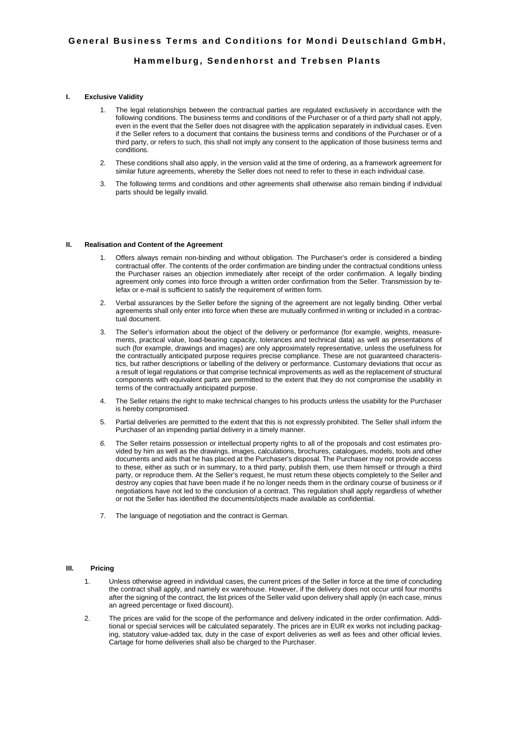# **Hammelburg, Sendenhorst and Trebsen Plants**

# **I. Exclusive Validity**

- 1. The legal relationships between the contractual parties are regulated exclusively in accordance with the following conditions. The business terms and conditions of the Purchaser or of a third party shall not apply, even in the event that the Seller does not disagree with the application separately in individual cases. Even if the Seller refers to a document that contains the business terms and conditions of the Purchaser or of a third party, or refers to such, this shall not imply any consent to the application of those business terms and conditions.
- 2. These conditions shall also apply, in the version valid at the time of ordering, as a framework agreement for similar future agreements, whereby the Seller does not need to refer to these in each individual case.
- 3. The following terms and conditions and other agreements shall otherwise also remain binding if individual parts should be legally invalid.

## **II. Realisation and Content of the Agreement**

- 1. Offers always remain non-binding and without obligation. The Purchaser's order is considered a binding contractual offer. The contents of the order confirmation are binding under the contractual conditions unless the Purchaser raises an objection immediately after receipt of the order confirmation. A legally binding agreement only comes into force through a written order confirmation from the Seller. Transmission by telefax or e-mail is sufficient to satisfy the requirement of written form.
- 2. Verbal assurances by the Seller before the signing of the agreement are not legally binding. Other verbal agreements shall only enter into force when these are mutually confirmed in writing or included in a contractual document.
- 3. The Seller's information about the object of the delivery or performance (for example, weights, measurements, practical value, load-bearing capacity, tolerances and technical data) as well as presentations of such (for example, drawings and images) are only approximately representative, unless the usefulness for the contractually anticipated purpose requires precise compliance. These are not guaranteed characteristics, but rather descriptions or labelling of the delivery or performance. Customary deviations that occur as a result of legal regulations or that comprise technical improvements as well as the replacement of structural components with equivalent parts are permitted to the extent that they do not compromise the usability in terms of the contractually anticipated purpose.
- 4. The Seller retains the right to make technical changes to his products unless the usability for the Purchaser is hereby compromised.
- 5. Partial deliveries are permitted to the extent that this is not expressly prohibited. The Seller shall inform the Purchaser of an impending partial delivery in a timely manner.
- 6. The Seller retains possession or intellectual property rights to all of the proposals and cost estimates provided by him as well as the drawings, images, calculations, brochures, catalogues, models, tools and other documents and aids that he has placed at the Purchaser's disposal. The Purchaser may not provide access to these, either as such or in summary, to a third party, publish them, use them himself or through a third party, or reproduce them. At the Seller's request, he must return these objects completely to the Seller and destroy any copies that have been made if he no longer needs them in the ordinary course of business or if negotiations have not led to the conclusion of a contract. This regulation shall apply regardless of whether or not the Seller has identified the documents/objects made available as confidential.
- 7. The language of negotiation and the contract is German.

## **III. Pricing**

- 1. Unless otherwise agreed in individual cases, the current prices of the Seller in force at the time of concluding the contract shall apply, and namely ex warehouse. However, if the delivery does not occur until four months after the signing of the contract, the list prices of the Seller valid upon delivery shall apply (in each case, minus an agreed percentage or fixed discount).
- 2. The prices are valid for the scope of the performance and delivery indicated in the order confirmation. Additional or special services will be calculated separately. The prices are in EUR ex works not including packaging, statutory value-added tax, duty in the case of export deliveries as well as fees and other official levies. Cartage for home deliveries shall also be charged to the Purchaser.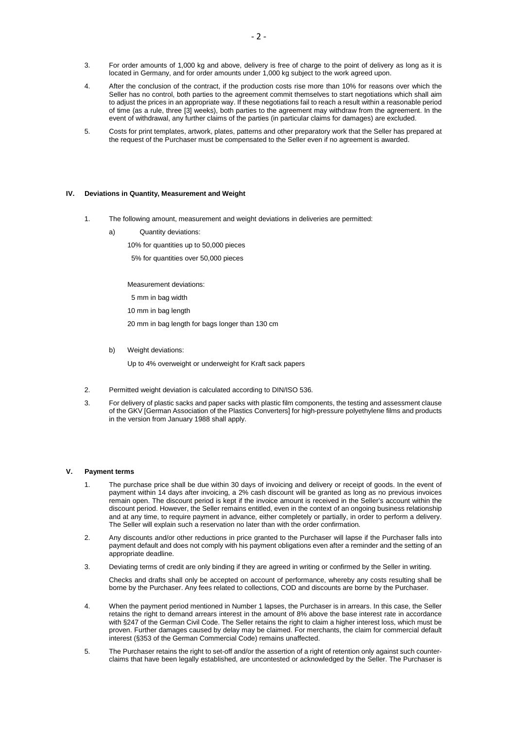- 3. For order amounts of 1,000 kg and above, delivery is free of charge to the point of delivery as long as it is located in Germany, and for order amounts under 1,000 kg subject to the work agreed upon.
- 4. After the conclusion of the contract, if the production costs rise more than 10% for reasons over which the Seller has no control, both parties to the agreement commit themselves to start negotiations which shall aim to adjust the prices in an appropriate way. If these negotiations fail to reach a result within a reasonable period of time (as a rule, three [3] weeks), both parties to the agreement may withdraw from the agreement. In the event of withdrawal, any further claims of the parties (in particular claims for damages) are excluded.
- 5. Costs for print templates, artwork, plates, patterns and other preparatory work that the Seller has prepared at the request of the Purchaser must be compensated to the Seller even if no agreement is awarded.

## **IV. Deviations in Quantity, Measurement and Weight**

- 1. The following amount, measurement and weight deviations in deliveries are permitted:
	- a) Quantity deviations:
		- 10% for quantities up to 50,000 pieces

5% for quantities over 50,000 pieces

Measurement deviations:

5 mm in bag width

10 mm in bag length

20 mm in bag length for bags longer than 130 cm

b) Weight deviations:

Up to 4% overweight or underweight for Kraft sack papers

- 2. Permitted weight deviation is calculated according to DIN/ISO 536.
- 3. For delivery of plastic sacks and paper sacks with plastic film components, the testing and assessment clause of the GKV [German Association of the Plastics Converters] for high-pressure polyethylene films and products in the version from January 1988 shall apply.

#### **V. Payment terms**

- 1. The purchase price shall be due within 30 days of invoicing and delivery or receipt of goods. In the event of payment within 14 days after invoicing, a 2% cash discount will be granted as long as no previous invoices remain open. The discount period is kept if the invoice amount is received in the Seller's account within the discount period. However, the Seller remains entitled, even in the context of an ongoing business relationship and at any time, to require payment in advance, either completely or partially, in order to perform a delivery. The Seller will explain such a reservation no later than with the order confirmation.
- 2. Any discounts and/or other reductions in price granted to the Purchaser will lapse if the Purchaser falls into payment default and does not comply with his payment obligations even after a reminder and the setting of an appropriate deadline.
- 3. Deviating terms of credit are only binding if they are agreed in writing or confirmed by the Seller in writing.

Checks and drafts shall only be accepted on account of performance, whereby any costs resulting shall be borne by the Purchaser. Any fees related to collections, COD and discounts are borne by the Purchaser.

- 4. When the payment period mentioned in Number 1 lapses, the Purchaser is in arrears. In this case, the Seller retains the right to demand arrears interest in the amount of 8% above the base interest rate in accordance with §247 of the German Civil Code. The Seller retains the right to claim a higher interest loss, which must be proven. Further damages caused by delay may be claimed. For merchants, the claim for commercial default interest (§353 of the German Commercial Code) remains unaffected.
- 5. The Purchaser retains the right to set-off and/or the assertion of a right of retention only against such counterclaims that have been legally established, are uncontested or acknowledged by the Seller. The Purchaser is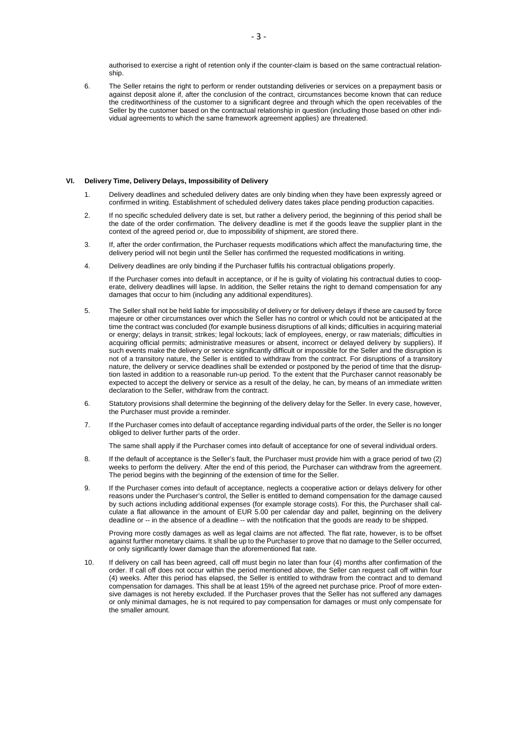authorised to exercise a right of retention only if the counter-claim is based on the same contractual relationship.

6. The Seller retains the right to perform or render outstanding deliveries or services on a prepayment basis or against deposit alone if, after the conclusion of the contract, circumstances become known that can reduce the creditworthiness of the customer to a significant degree and through which the open receivables of the Seller by the customer based on the contractual relationship in question (including those based on other individual agreements to which the same framework agreement applies) are threatened.

## **VI. Delivery Time, Delivery Delays, Impossibility of Delivery**

- 1. Delivery deadlines and scheduled delivery dates are only binding when they have been expressly agreed or confirmed in writing. Establishment of scheduled delivery dates takes place pending production capacities.
- 2. If no specific scheduled delivery date is set, but rather a delivery period, the beginning of this period shall be the date of the order confirmation. The delivery deadline is met if the goods leave the supplier plant in the context of the agreed period or, due to impossibility of shipment, are stored there.
- 3. If, after the order confirmation, the Purchaser requests modifications which affect the manufacturing time, the delivery period will not begin until the Seller has confirmed the requested modifications in writing.
- 4. Delivery deadlines are only binding if the Purchaser fulfils his contractual obligations properly.

If the Purchaser comes into default in acceptance, or if he is guilty of violating his contractual duties to cooperate, delivery deadlines will lapse. In addition, the Seller retains the right to demand compensation for any damages that occur to him (including any additional expenditures).

- 5. The Seller shall not be held liable for impossibility of delivery or for delivery delays if these are caused by force majeure or other circumstances over which the Seller has no control or which could not be anticipated at the time the contract was concluded (for example business disruptions of all kinds; difficulties in acquiring material or energy; delays in transit; strikes; legal lockouts; lack of employees, energy, or raw materials; difficulties in acquiring official permits; administrative measures or absent, incorrect or delayed delivery by suppliers). If such events make the delivery or service significantly difficult or impossible for the Seller and the disruption is not of a transitory nature, the Seller is entitled to withdraw from the contract. For disruptions of a transitory nature, the delivery or service deadlines shall be extended or postponed by the period of time that the disruption lasted in addition to a reasonable run-up period. To the extent that the Purchaser cannot reasonably be expected to accept the delivery or service as a result of the delay, he can, by means of an immediate written declaration to the Seller, withdraw from the contract.
- 6. Statutory provisions shall determine the beginning of the delivery delay for the Seller. In every case, however, the Purchaser must provide a reminder.
- 7. If the Purchaser comes into default of acceptance regarding individual parts of the order, the Seller is no longer obliged to deliver further parts of the order.

The same shall apply if the Purchaser comes into default of acceptance for one of several individual orders.

- 8. If the default of acceptance is the Seller's fault, the Purchaser must provide him with a grace period of two (2) weeks to perform the delivery. After the end of this period, the Purchaser can withdraw from the agreement. The period begins with the beginning of the extension of time for the Seller.
- 9. If the Purchaser comes into default of acceptance, neglects a cooperative action or delays delivery for other reasons under the Purchaser's control, the Seller is entitled to demand compensation for the damage caused by such actions including additional expenses (for example storage costs). For this, the Purchaser shall calculate a flat allowance in the amount of EUR 5.00 per calendar day and pallet, beginning on the delivery deadline or -- in the absence of a deadline -- with the notification that the goods are ready to be shipped.

Proving more costly damages as well as legal claims are not affected. The flat rate, however, is to be offset against further monetary claims. It shall be up to the Purchaser to prove that no damage to the Seller occurred, or only significantly lower damage than the aforementioned flat rate.

10. If delivery on call has been agreed, call off must begin no later than four (4) months after confirmation of the order. If call off does not occur within the period mentioned above, the Seller can request call off within four (4) weeks. After this period has elapsed, the Seller is entitled to withdraw from the contract and to demand compensation for damages. This shall be at least 15% of the agreed net purchase price. Proof of more extensive damages is not hereby excluded. If the Purchaser proves that the Seller has not suffered any damages or only minimal damages, he is not required to pay compensation for damages or must only compensate for the smaller amount.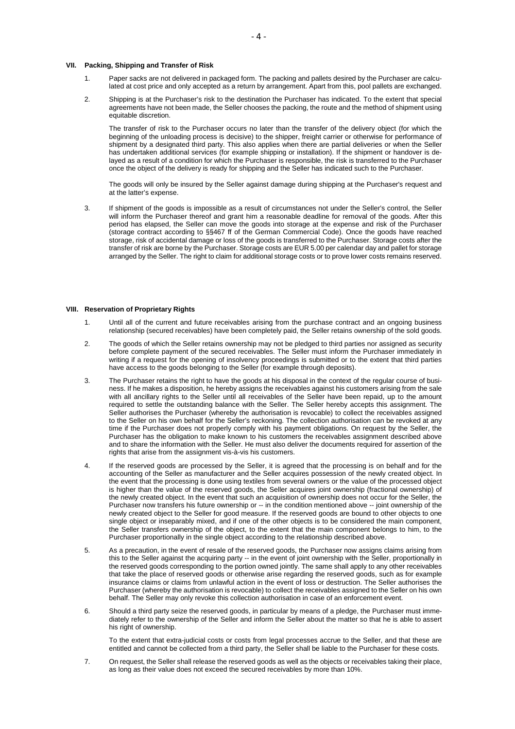#### **VII. Packing, Shipping and Transfer of Risk**

- 1. Paper sacks are not delivered in packaged form. The packing and pallets desired by the Purchaser are calculated at cost price and only accepted as a return by arrangement. Apart from this, pool pallets are exchanged.
- 2. Shipping is at the Purchaser's risk to the destination the Purchaser has indicated. To the extent that special agreements have not been made, the Seller chooses the packing, the route and the method of shipment using equitable discretion.

The transfer of risk to the Purchaser occurs no later than the transfer of the delivery object (for which the beginning of the unloading process is decisive) to the shipper, freight carrier or otherwise for performance of shipment by a designated third party. This also applies when there are partial deliveries or when the Seller has undertaken additional services (for example shipping or installation). If the shipment or handover is delayed as a result of a condition for which the Purchaser is responsible, the risk is transferred to the Purchaser once the object of the delivery is ready for shipping and the Seller has indicated such to the Purchaser.

The goods will only be insured by the Seller against damage during shipping at the Purchaser's request and at the latter's expense.

3. If shipment of the goods is impossible as a result of circumstances not under the Seller's control, the Seller will inform the Purchaser thereof and grant him a reasonable deadline for removal of the goods. After this period has elapsed, the Seller can move the goods into storage at the expense and risk of the Purchaser (storage contract according to §§467 ff of the German Commercial Code). Once the goods have reached storage, risk of accidental damage or loss of the goods is transferred to the Purchaser. Storage costs after the transfer of risk are borne by the Purchaser. Storage costs are EUR 5.00 per calendar day and pallet for storage arranged by the Seller. The right to claim for additional storage costs or to prove lower costs remains reserved.

## **VIII. Reservation of Proprietary Rights**

- 1. Until all of the current and future receivables arising from the purchase contract and an ongoing business relationship (secured receivables) have been completely paid, the Seller retains ownership of the sold goods.
- 2. The goods of which the Seller retains ownership may not be pledged to third parties nor assigned as security before complete payment of the secured receivables. The Seller must inform the Purchaser immediately in writing if a request for the opening of insolvency proceedings is submitted or to the extent that third parties have access to the goods belonging to the Seller (for example through deposits).
- 3. The Purchaser retains the right to have the goods at his disposal in the context of the regular course of business. If he makes a disposition, he hereby assigns the receivables against his customers arising from the sale with all ancillary rights to the Seller until all receivables of the Seller have been repaid, up to the amount required to settle the outstanding balance with the Seller. The Seller hereby accepts this assignment. The Seller authorises the Purchaser (whereby the authorisation is revocable) to collect the receivables assigned to the Seller on his own behalf for the Seller's reckoning. The collection authorisation can be revoked at any time if the Purchaser does not properly comply with his payment obligations. On request by the Seller, the Purchaser has the obligation to make known to his customers the receivables assignment described above and to share the information with the Seller. He must also deliver the documents required for assertion of the rights that arise from the assignment vis-à-vis his customers.
- 4. If the reserved goods are processed by the Seller, it is agreed that the processing is on behalf and for the accounting of the Seller as manufacturer and the Seller acquires possession of the newly created object. In the event that the processing is done using textiles from several owners or the value of the processed object is higher than the value of the reserved goods, the Seller acquires joint ownership (fractional ownership) of the newly created object. In the event that such an acquisition of ownership does not occur for the Seller, the Purchaser now transfers his future ownership or -- in the condition mentioned above -- joint ownership of the newly created object to the Seller for good measure. If the reserved goods are bound to other objects to one single object or inseparably mixed, and if one of the other objects is to be considered the main component, the Seller transfers ownership of the object, to the extent that the main component belongs to him, to the Purchaser proportionally in the single object according to the relationship described above.
- 5. As a precaution, in the event of resale of the reserved goods, the Purchaser now assigns claims arising from this to the Seller against the acquiring party -- in the event of joint ownership with the Seller, proportionally in the reserved goods corresponding to the portion owned jointly. The same shall apply to any other receivables that take the place of reserved goods or otherwise arise regarding the reserved goods, such as for example insurance claims or claims from unlawful action in the event of loss or destruction. The Seller authorises the Purchaser (whereby the authorisation is revocable) to collect the receivables assigned to the Seller on his own behalf. The Seller may only revoke this collection authorisation in case of an enforcement event.
- 6. Should a third party seize the reserved goods, in particular by means of a pledge, the Purchaser must immediately refer to the ownership of the Seller and inform the Seller about the matter so that he is able to assert his right of ownership.

To the extent that extra-judicial costs or costs from legal processes accrue to the Seller, and that these are entitled and cannot be collected from a third party, the Seller shall be liable to the Purchaser for these costs.

7. On request, the Seller shall release the reserved goods as well as the objects or receivables taking their place, as long as their value does not exceed the secured receivables by more than 10%.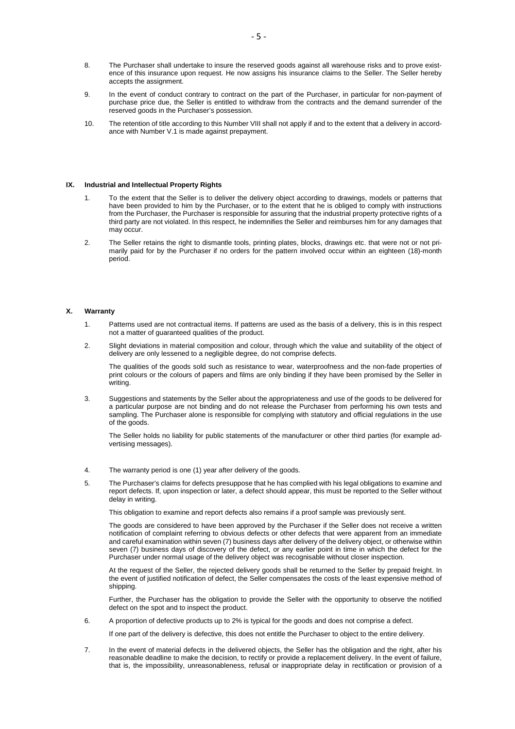- 8. The Purchaser shall undertake to insure the reserved goods against all warehouse risks and to prove existence of this insurance upon request. He now assigns his insurance claims to the Seller. The Seller hereby accepts the assignment.
- 9. In the event of conduct contrary to contract on the part of the Purchaser, in particular for non-payment of purchase price due, the Seller is entitled to withdraw from the contracts and the demand surrender of the reserved goods in the Purchaser's possession.
- 10. The retention of title according to this Number VIII shall not apply if and to the extent that a delivery in accordance with Number V.1 is made against prepayment.

#### **IX. Industrial and Intellectual Property Rights**

- 1. To the extent that the Seller is to deliver the delivery object according to drawings, models or patterns that have been provided to him by the Purchaser, or to the extent that he is obliged to comply with instructions from the Purchaser, the Purchaser is responsible for assuring that the industrial property protective rights of a third party are not violated. In this respect, he indemnifies the Seller and reimburses him for any damages that may occur.
- 2. The Seller retains the right to dismantle tools, printing plates, blocks, drawings etc. that were not or not primarily paid for by the Purchaser if no orders for the pattern involved occur within an eighteen (18)-month period.

## **X. Warranty**

- 1. Patterns used are not contractual items. If patterns are used as the basis of a delivery, this is in this respect not a matter of guaranteed qualities of the product.
- 2. Slight deviations in material composition and colour, through which the value and suitability of the object of delivery are only lessened to a negligible degree, do not comprise defects.

The qualities of the goods sold such as resistance to wear, waterproofness and the non-fade properties of print colours or the colours of papers and films are only binding if they have been promised by the Seller in writing.

3. Suggestions and statements by the Seller about the appropriateness and use of the goods to be delivered for a particular purpose are not binding and do not release the Purchaser from performing his own tests and sampling. The Purchaser alone is responsible for complying with statutory and official regulations in the use of the goods.

The Seller holds no liability for public statements of the manufacturer or other third parties (for example advertising messages).

- 4. The warranty period is one (1) year after delivery of the goods.
- 5. The Purchaser's claims for defects presuppose that he has complied with his legal obligations to examine and report defects. If, upon inspection or later, a defect should appear, this must be reported to the Seller without delay in writing.

This obligation to examine and report defects also remains if a proof sample was previously sent.

The goods are considered to have been approved by the Purchaser if the Seller does not receive a written notification of complaint referring to obvious defects or other defects that were apparent from an immediate and careful examination within seven (7) business days after delivery of the delivery object, or otherwise within seven (7) business days of discovery of the defect, or any earlier point in time in which the defect for the Purchaser under normal usage of the delivery object was recognisable without closer inspection.

At the request of the Seller, the rejected delivery goods shall be returned to the Seller by prepaid freight. In the event of justified notification of defect, the Seller compensates the costs of the least expensive method of shipping.

Further, the Purchaser has the obligation to provide the Seller with the opportunity to observe the notified defect on the spot and to inspect the product.

6. A proportion of defective products up to 2% is typical for the goods and does not comprise a defect.

If one part of the delivery is defective, this does not entitle the Purchaser to object to the entire delivery.

7. In the event of material defects in the delivered objects, the Seller has the obligation and the right, after his reasonable deadline to make the decision, to rectify or provide a replacement delivery. In the event of failure, that is, the impossibility, unreasonableness, refusal or inappropriate delay in rectification or provision of a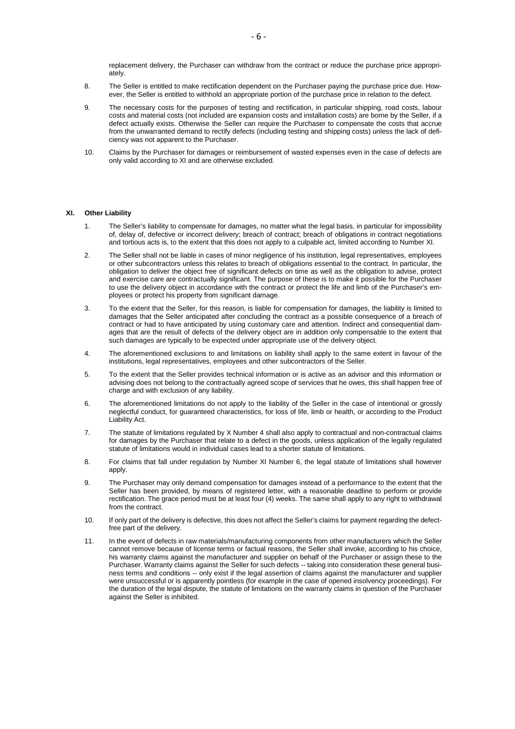replacement delivery, the Purchaser can withdraw from the contract or reduce the purchase price appropriately.

- 8. The Seller is entitled to make rectification dependent on the Purchaser paying the purchase price due. However, the Seller is entitled to withhold an appropriate portion of the purchase price in relation to the defect.
- 9. The necessary costs for the purposes of testing and rectification, in particular shipping, road costs, labour costs and material costs (not included are expansion costs and installation costs) are borne by the Seller, if a defect actually exists. Otherwise the Seller can require the Purchaser to compensate the costs that accrue from the unwarranted demand to rectify defects (including testing and shipping costs) unless the lack of deficiency was not apparent to the Purchaser.
- 10. Claims by the Purchaser for damages or reimbursement of wasted expenses even in the case of defects are only valid according to XI and are otherwise excluded.

#### **XI. Other Liability**

- 1. The Seller's liability to compensate for damages, no matter what the legal basis, in particular for impossibility of, delay of, defective or incorrect delivery; breach of contract; breach of obligations in contract negotiations and tortious acts is, to the extent that this does not apply to a culpable act, limited according to Number XI.
- 2. The Seller shall not be liable in cases of minor negligence of his institution, legal representatives, employees or other subcontractors unless this relates to breach of obligations essential to the contract. In particular, the obligation to deliver the object free of significant defects on time as well as the obligation to advise, protect and exercise care are contractually significant. The purpose of these is to make it possible for the Purchaser to use the delivery object in accordance with the contract or protect the life and limb of the Purchaser's employees or protect his property from significant damage.
- 3. To the extent that the Seller, for this reason, is liable for compensation for damages, the liability is limited to damages that the Seller anticipated after concluding the contract as a possible consequence of a breach of contract or had to have anticipated by using customary care and attention. Indirect and consequential damages that are the result of defects of the delivery object are in addition only compensable to the extent that such damages are typically to be expected under appropriate use of the delivery object.
- 4. The aforementioned exclusions to and limitations on liability shall apply to the same extent in favour of the institutions, legal representatives, employees and other subcontractors of the Seller.
- 5. To the extent that the Seller provides technical information or is active as an advisor and this information or advising does not belong to the contractually agreed scope of services that he owes, this shall happen free of charge and with exclusion of any liability.
- 6. The aforementioned limitations do not apply to the liability of the Seller in the case of intentional or grossly neglectful conduct, for guaranteed characteristics, for loss of life, limb or health, or according to the Product Liability Act.
- 7. The statute of limitations regulated by X Number 4 shall also apply to contractual and non-contractual claims for damages by the Purchaser that relate to a defect in the goods, unless application of the legally regulated statute of limitations would in individual cases lead to a shorter statute of limitations.
- 8. For claims that fall under regulation by Number XI Number 6, the legal statute of limitations shall however apply.
- 9. The Purchaser may only demand compensation for damages instead of a performance to the extent that the Seller has been provided, by means of registered letter, with a reasonable deadline to perform or provide rectification. The grace period must be at least four (4) weeks. The same shall apply to any right to withdrawal from the contract.
- 10. If only part of the delivery is defective, this does not affect the Seller's claims for payment regarding the defectfree part of the delivery.
- 11. In the event of defects in raw materials/manufacturing components from other manufacturers which the Seller cannot remove because of license terms or factual reasons, the Seller shall invoke, according to his choice, his warranty claims against the manufacturer and supplier on behalf of the Purchaser or assign these to the Purchaser. Warranty claims against the Seller for such defects -- taking into consideration these general business terms and conditions -- only exist if the legal assertion of claims against the manufacturer and supplier were unsuccessful or is apparently pointless (for example in the case of opened insolvency proceedings). For the duration of the legal dispute, the statute of limitations on the warranty claims in question of the Purchaser against the Seller is inhibited.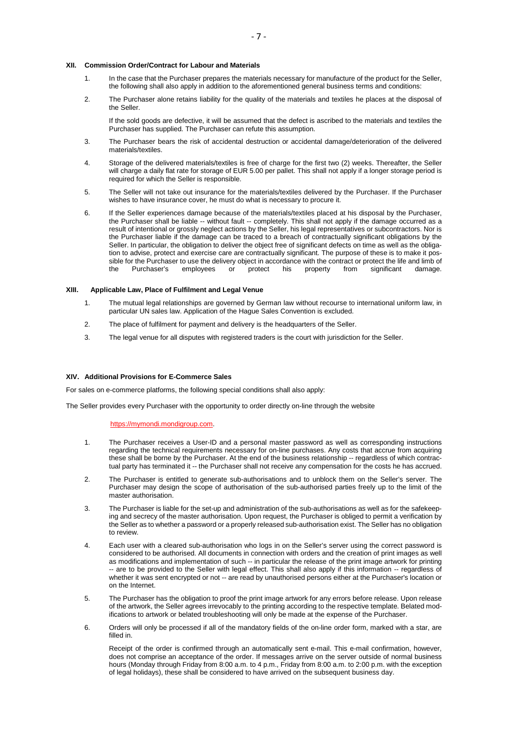#### **XII. Commission Order/Contract for Labour and Materials**

- 1. In the case that the Purchaser prepares the materials necessary for manufacture of the product for the Seller, the following shall also apply in addition to the aforementioned general business terms and conditions:
- 2. The Purchaser alone retains liability for the quality of the materials and textiles he places at the disposal of the Seller.

If the sold goods are defective, it will be assumed that the defect is ascribed to the materials and textiles the Purchaser has supplied. The Purchaser can refute this assumption.

- 3. The Purchaser bears the risk of accidental destruction or accidental damage/deterioration of the delivered materials/textiles.
- 4. Storage of the delivered materials/textiles is free of charge for the first two (2) weeks. Thereafter, the Seller will charge a daily flat rate for storage of EUR 5.00 per pallet. This shall not apply if a longer storage period is required for which the Seller is responsible.
- 5. The Seller will not take out insurance for the materials/textiles delivered by the Purchaser. If the Purchaser wishes to have insurance cover, he must do what is necessary to procure it.
- 6. If the Seller experiences damage because of the materials/textiles placed at his disposal by the Purchaser, the Purchaser shall be liable -- without fault -- completely. This shall not apply if the damage occurred as a result of intentional or grossly neglect actions by the Seller, his legal representatives or subcontractors. Nor is the Purchaser liable if the damage can be traced to a breach of contractually significant obligations by the Seller. In particular, the obligation to deliver the object free of significant defects on time as well as the obligation to advise, protect and exercise care are contractually significant. The purpose of these is to make it possible for the Purchaser to use the delivery object in accordance with the contract or protect the life and limb of the Purchaser's employees or protect his property from significant damage.

# **XIII. Applicable Law, Place of Fulfilment and Legal Venue**

- 1. The mutual legal relationships are governed by German law without recourse to international uniform law, in particular UN sales law. Application of the Hague Sales Convention is excluded.
- 2. The place of fulfilment for payment and delivery is the headquarters of the Seller.
- 3. The legal venue for all disputes with registered traders is the court with jurisdiction for the Seller.

#### **XIV. Additional Provisions for E-Commerce Sales**

For sales on e-commerce platforms, the following special conditions shall also apply:

The Seller provides every Purchaser with the opportunity to order directly on-line through the website

#### https://mymondi.mondigroup.com.

- 1. The Purchaser receives a User-ID and a personal master password as well as corresponding instructions regarding the technical requirements necessary for on-line purchases. Any costs that accrue from acquiring these shall be borne by the Purchaser. At the end of the business relationship -- regardless of which contractual party has terminated it -- the Purchaser shall not receive any compensation for the costs he has accrued.
- 2. The Purchaser is entitled to generate sub-authorisations and to unblock them on the Seller's server. The Purchaser may design the scope of authorisation of the sub-authorised parties freely up to the limit of the master authorisation.
- 3. The Purchaser is liable for the set-up and administration of the sub-authorisations as well as for the safekeeping and secrecy of the master authorisation. Upon request, the Purchaser is obliged to permit a verification by the Seller as to whether a password or a properly released sub-authorisation exist. The Seller has no obligation to review.
- 4. Each user with a cleared sub-authorisation who logs in on the Seller's server using the correct password is considered to be authorised. All documents in connection with orders and the creation of print images as well as modifications and implementation of such -- in particular the release of the print image artwork for printing -- are to be provided to the Seller with legal effect. This shall also apply if this information -- regardless of whether it was sent encrypted or not -- are read by unauthorised persons either at the Purchaser's location or on the Internet.
- 5. The Purchaser has the obligation to proof the print image artwork for any errors before release. Upon release of the artwork, the Seller agrees irrevocably to the printing according to the respective template. Belated modifications to artwork or belated troubleshooting will only be made at the expense of the Purchaser.
- 6. Orders will only be processed if all of the mandatory fields of the on-line order form, marked with a star, are filled in.

Receipt of the order is confirmed through an automatically sent e-mail. This e-mail confirmation, however, does not comprise an acceptance of the order. If messages arrive on the server outside of normal business hours (Monday through Friday from 8:00 a.m. to 4 p.m., Friday from 8:00 a.m. to 2:00 p.m. with the exception of legal holidays), these shall be considered to have arrived on the subsequent business day.